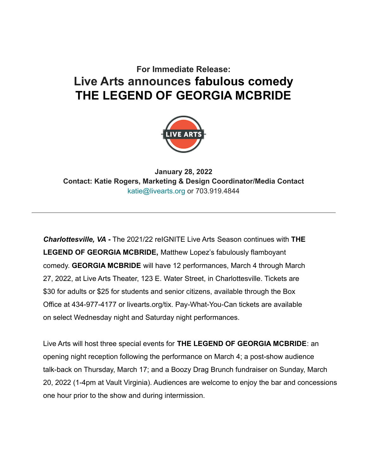# **For Immediate Release: Live Arts announces fabulous comedy THE LEGEND OF GEORGIA MCBRIDE**



**January 28, 2022 Contact: Katie Rogers, Marketing & Design Coordinator/Media Contact** katie@livearts.org or 703.919.4844

*Charlottesville, VA* **-** The 2021/22 reIGNITE Live Arts Season continues with **THE LEGEND OF GEORGIA MCBRIDE,** Matthew Lopez's fabulously flamboyant comedy. **GEORGIA MCBRIDE** will have 12 performances, March 4 through March 27, 2022, at Live Arts Theater, 123 E. Water Street, in Charlottesville. Tickets are \$30 for adults or \$25 for students and senior citizens, available through the Box Office at 434-977-4177 or livearts.org/tix. Pay-What-You-Can tickets are available on select Wednesday night and Saturday night performances.

Live Arts will host three special events for **THE LEGEND OF GEORGIA MCBRIDE**: an opening night reception following the performance on March 4; a post-show audience talk-back on Thursday, March 17; and a Boozy Drag Brunch fundraiser on Sunday, March 20, 2022 (1-4pm at Vault Virginia). Audiences are welcome to enjoy the bar and concessions one hour prior to the show and during intermission.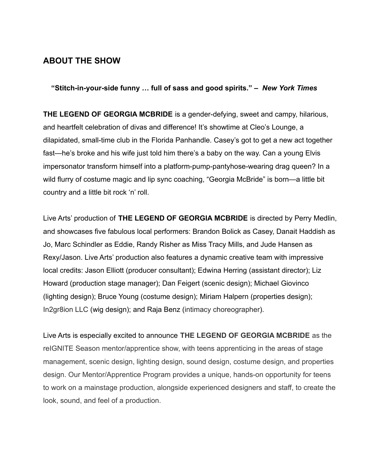### **ABOUT THE SHOW**

**"Stitch-in-your-side funny … full of sass and good spirits." –** *New York Times*

**THE LEGEND OF GEORGIA MCBRIDE** is a gender-defying, sweet and campy, hilarious, and heartfelt celebration of divas and difference! It's showtime at Cleo's Lounge, a dilapidated, small-time club in the Florida Panhandle. Casey's got to get a new act together fast—he's broke and his wife just told him there's a baby on the way. Can a young Elvis impersonator transform himself into a platform-pump-pantyhose-wearing drag queen? In a wild flurry of costume magic and lip sync coaching, "Georgia McBride" is born—a little bit country and a little bit rock 'n' roll.

Live Arts' production of **THE LEGEND OF GEORGIA MCBRIDE** is directed by Perry Medlin, and showcases five fabulous local performers: Brandon Bolick as Casey, Danait Haddish as Jo, Marc Schindler as Eddie, Randy Risher as Miss Tracy Mills, and Jude Hansen as Rexy/Jason. Live Arts' production also features a dynamic creative team with impressive local credits: Jason Elliott (producer consultant); Edwina Herring (assistant director); Liz Howard (production stage manager); Dan Feigert (scenic design); Michael Giovinco (lighting design); Bruce Young (costume design); Miriam Halpern (properties design); In2gr8ion LLC (wig design); and Raja Benz (intimacy choreographer).

Live Arts is especially excited to announce **THE LEGEND OF GEORGIA MCBRIDE** as the reIGNITE Season mentor/apprentice show, with teens apprenticing in the areas of stage management, scenic design, lighting design, sound design, costume design, and properties design. Our Mentor/Apprentice Program provides a unique, hands-on opportunity for teens to work on a mainstage production, alongside experienced designers and staff, to create the look, sound, and feel of a production.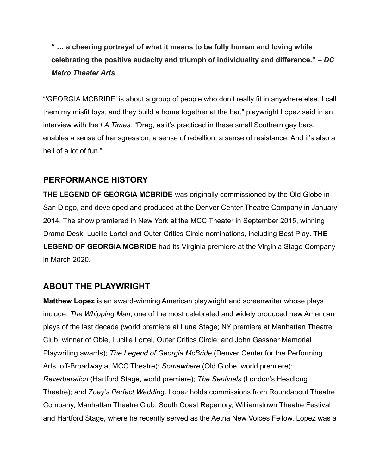**" … a cheering portrayal of what it means to be fully human and loving while celebrating the positive audacity and triumph of individuality and difference." –** *DC Metro Theater Arts*

"'GEORGIA MCBRIDE' is about a group of people who don't really fit in anywhere else. I call them my misfit toys, and they build a home together at the bar," playwright Lopez said in an interview with the *LA Times*. "Drag, as it's practiced in these small Southern gay bars, enables a sense of transgression, a sense of rebellion, a sense of resistance. And it's also a hell of a lot of fun."

### **PERFORMANCE HISTORY**

**THE LEGEND OF GEORGIA MCBRIDE** was originally commissioned by the Old Globe in San Diego, and developed and produced at the Denver Center Theatre Company in January 2014. The show premiered in New York at the MCC Theater in September 2015, winning Drama Desk, Lucille Lortel and Outer Critics Circle nominations, including Best Play**. THE LEGEND OF GEORGIA MCBRIDE** had its Virginia premiere at the Virginia Stage Company in March 2020.

### **ABOUT THE PLAYWRIGHT**

**Matthew Lopez** is an award-winning American playwright and screenwriter whose plays include: *The Whipping Man*, one of the most celebrated and widely produced new American plays of the last decade (world premiere at Luna Stage; NY premiere at Manhattan Theatre Club; winner of Obie, Lucille Lortel, Outer Critics Circle, and John Gassner Memorial Playwriting awards); *The Legend of Georgia McBride* (Denver Center for the Performing Arts, off-Broadway at MCC Theatre); *Somewhere* (Old Globe, world premiere); *Reverberation* (Hartford Stage, world premiere); *The Sentinels* (London's Headlong Theatre); and *Zoey's Perfect Wedding*. Lopez holds commissions from Roundabout Theatre Company, Manhattan Theatre Club, South Coast Repertory, Williamstown Theatre Festival and Hartford Stage, where he recently served as the Aetna New Voices Fellow. Lopez was a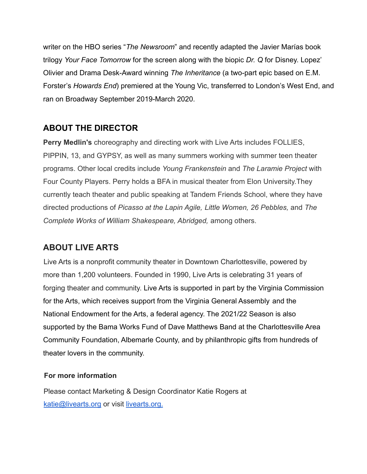writer on the HBO series "*The Newsroom*" and recently adapted the Javier Marías book trilogy *Your Face Tomorrow* for the screen along with the biopic *Dr. Q* for Disney. Lopez' Olivier and Drama Desk-Award winning *The Inheritance* (a two-part epic based on E.M. Forster's *Howards End*) premiered at the Young Vic, transferred to London's West End, and ran on Broadway September 2019-March 2020.

## **ABOUT THE DIRECTOR**

**Perry Medlin's** choreography and directing work with Live Arts includes FOLLIES, PIPPIN, 13, and GYPSY, as well as many summers working with summer teen theater programs. Other local credits include *Young Frankenstein* and *The Laramie Project* with Four County Players. Perry holds a BFA in musical theater from Elon University.They currently teach theater and public speaking at Tandem Friends School, where they have directed productions of *Picasso at the Lapin Agile, Little Women, 26 Pebbles,* and *The Complete Works of William Shakespeare, Abridged,* among others.

# **ABOUT LIVE ARTS**

Live Arts is a nonprofit community theater in Downtown Charlottesville, powered by more than 1,200 volunteers. Founded in 1990, Live Arts is celebrating 31 years of forging theater and community. Live Arts is supported in part by the Virginia Commission for the Arts, which receives support from the Virginia General Assembly and the National Endowment for the Arts, a federal agency. The 2021/22 Season is also supported by the Bama Works Fund of Dave Matthews Band at the Charlottesville Area Community Foundation, Albemarle County, and by philanthropic gifts from hundreds of theater lovers in the community.

### **For more information**

Please contact Marketing & Design Coordinator Katie Rogers at [katie@livearts.org](mailto:katie@livearts.org) or visit [livearts.org.](http://livearts.org)